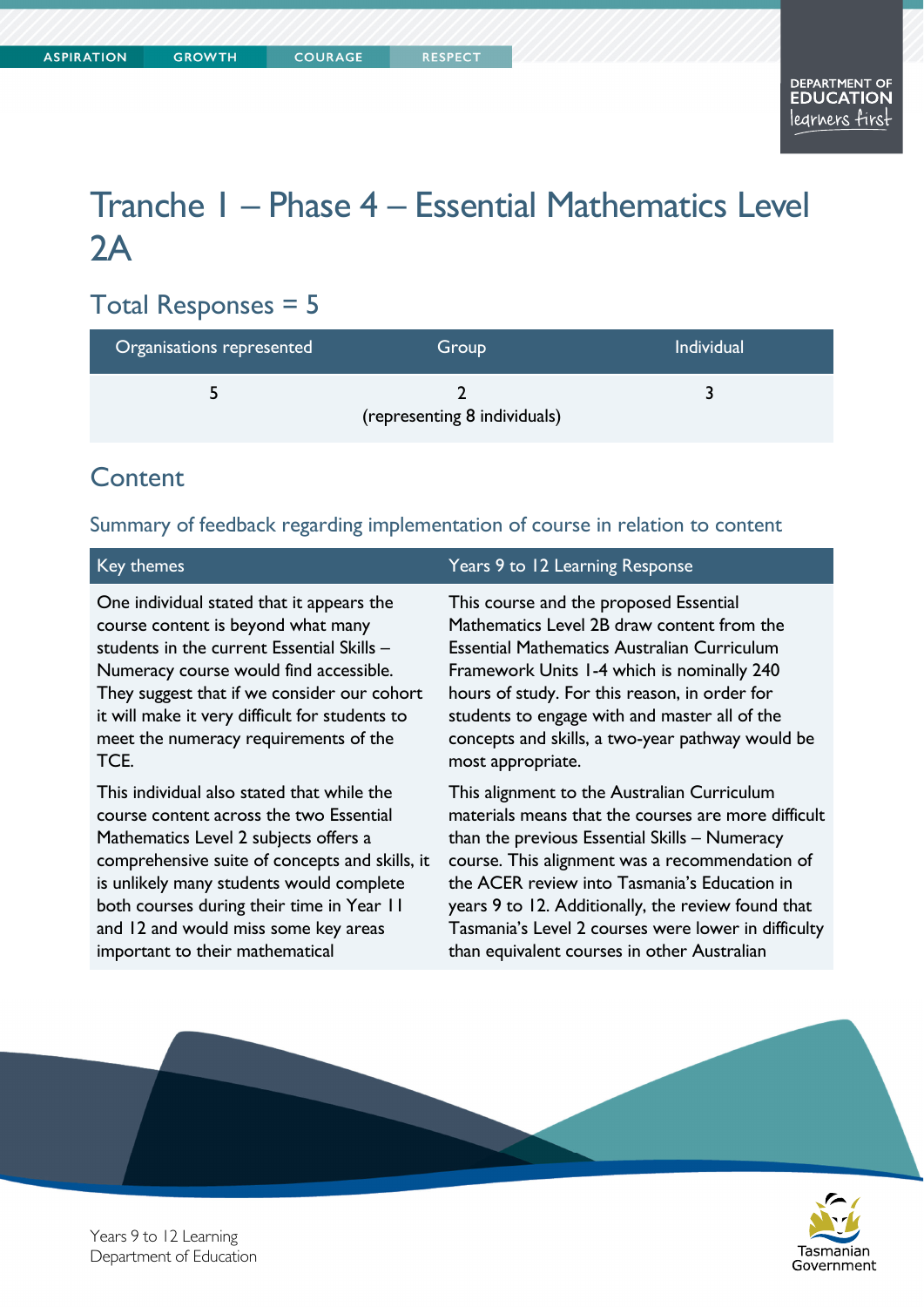# Tranche 1 – Phase 4 – Essential Mathematics Level  $2A$

## Total Responses = 5

| Organisations represented | Group                        | <b>Individual</b> |
|---------------------------|------------------------------|-------------------|
|                           | (representing 8 individuals) |                   |

## **Content**

#### Summary of feedback regarding implementation of course in relation to content

One individual stated that it appears the course content is beyond what many students in the current Essential Skills – Numeracy course would find accessible. They suggest that if we consider our cohort it will make it very difficult for students to meet the numeracy requirements of the TCE.

This individual also stated that while the course content across the two Essential Mathematics Level 2 subjects offers a comprehensive suite of concepts and skills, it is unlikely many students would complete both courses during their time in Year 11 and 12 and would miss some key areas important to their mathematical

#### Key themes Years 9 to 12 Learning Response

This course and the proposed Essential Mathematics Level 2B draw content from the Essential Mathematics Australian Curriculum Framework Units 1-4 which is nominally 240 hours of study. For this reason, in order for students to engage with and master all of the concepts and skills, a two-year pathway would be most appropriate.

This alignment to the Australian Curriculum materials means that the courses are more difficult than the previous Essential Skills – Numeracy course. This alignment was a recommendation of the ACER review into Tasmania's Education in years 9 to 12. Additionally, the review found that Tasmania's Level 2 courses were lower in difficulty than equivalent courses in other Australian





Years 9 to 12 Learning Department of Education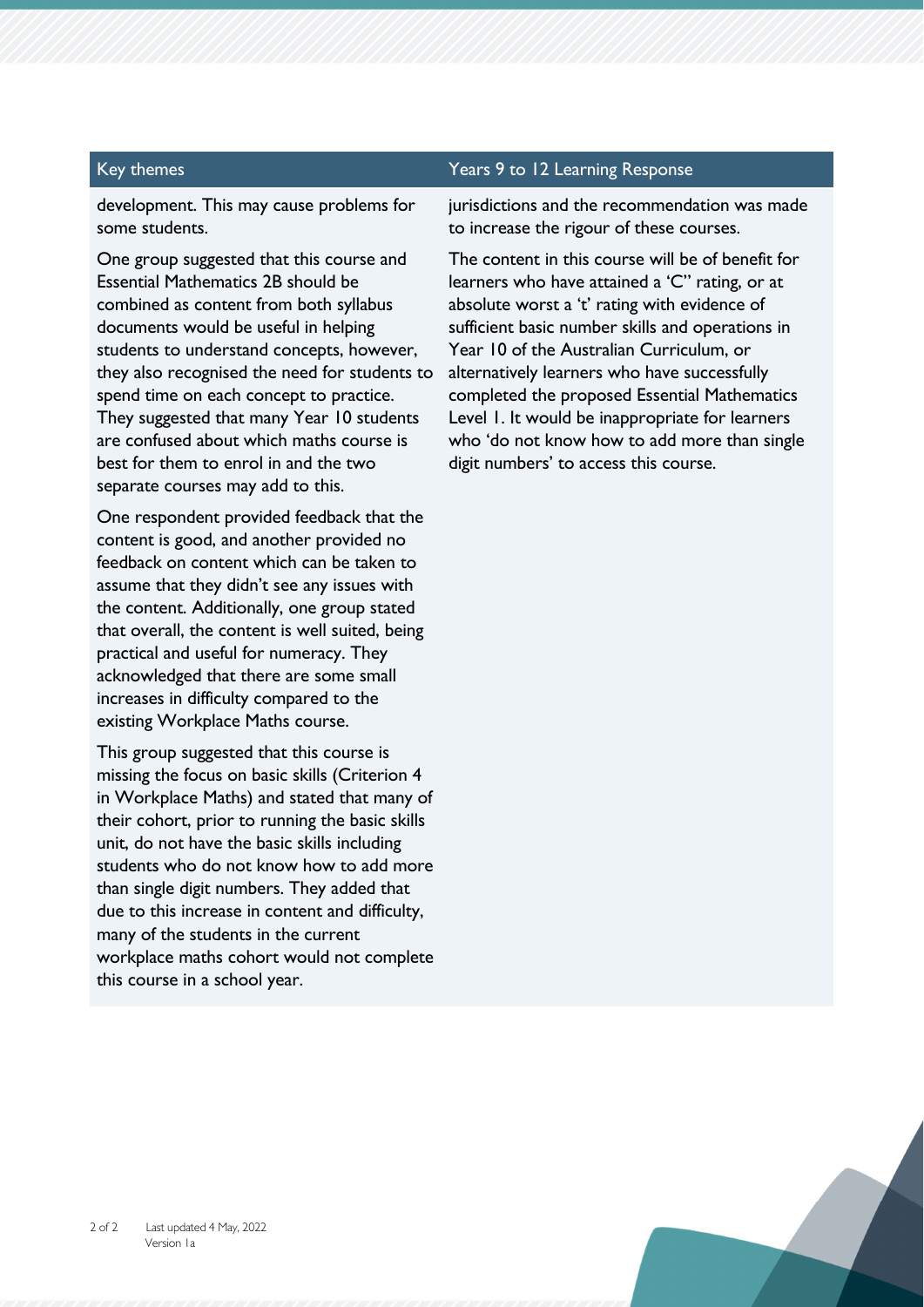### Key themes Themes Themes Themes Themes Themes Themes Theory and Years 9 to 12 Learning Response

development. This may cause problems for some students.

One group suggested that this course and Essential Mathematics 2B should be combined as content from both syllabus documents would be useful in helping students to understand concepts, however, they also recognised the need for students to spend time on each concept to practice. They suggested that many Year 10 students are confused about which maths course is best for them to enrol in and the two separate courses may add to this.

One respondent provided feedback that the content is good, and another provided no feedback on content which can be taken to assume that they didn't see any issues with the content. Additionally, one group stated that overall, the content is well suited, being practical and useful for numeracy. They acknowledged that there are some small increases in difficulty compared to the existing Workplace Maths course.

This group suggested that this course is missing the focus on basic skills (Criterion 4 in Workplace Maths) and stated that many of their cohort, prior to running the basic skills unit, do not have the basic skills including students who do not know how to add more than single digit numbers. They added that due to this increase in content and difficulty, many of the students in the current workplace maths cohort would not complete this course in a school year.

jurisdictions and the recommendation was made to increase the rigour of these courses.

The content in this course will be of benefit for learners who have attained a 'C" rating, or at absolute worst a 't' rating with evidence of sufficient basic number skills and operations in Year 10 of the Australian Curriculum, or alternatively learners who have successfully completed the proposed Essential Mathematics Level 1. It would be inappropriate for learners who 'do not know how to add more than single digit numbers' to access this course.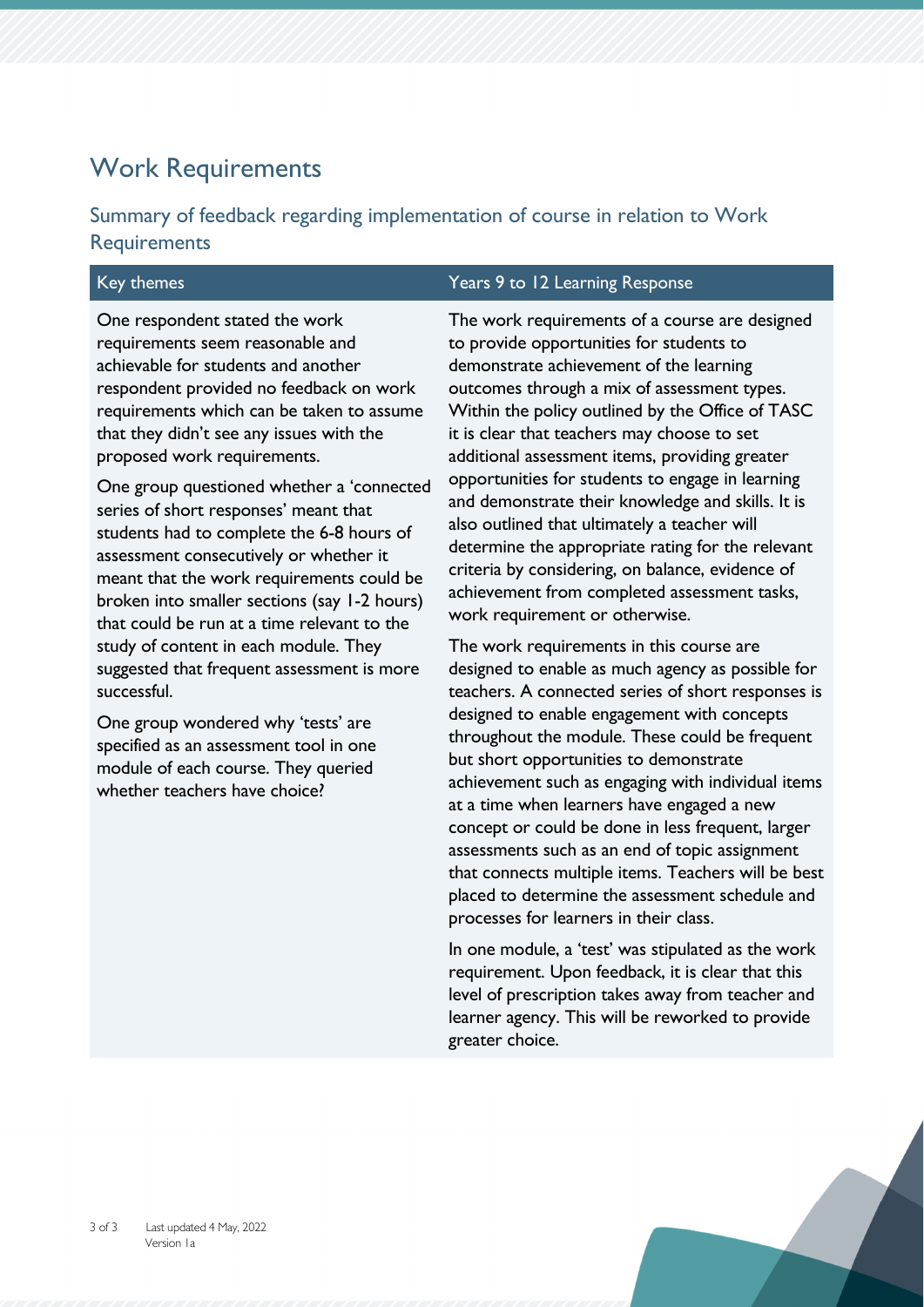### Work Requirements

Summary of feedback regarding implementation of course in relation to Work **Requirements** 

One respondent stated the work requirements seem reasonable and achievable for students and another respondent provided no feedback on work requirements which can be taken to assume that they didn't see any issues with the proposed work requirements.

One group questioned whether a 'connected series of short responses' meant that students had to complete the 6-8 hours of assessment consecutively or whether it meant that the work requirements could be broken into smaller sections (say 1-2 hours) that could be run at a time relevant to the study of content in each module. They suggested that frequent assessment is more successful.

One group wondered why 'tests' are specified as an assessment tool in one module of each course. They queried whether teachers have choice?

#### Key themes Years 9 to 12 Learning Response

The work requirements of a course are designed to provide opportunities for students to demonstrate achievement of the learning outcomes through a mix of assessment types. Within the policy outlined by the Office of TASC it is clear that teachers may choose to set additional assessment items, providing greater opportunities for students to engage in learning and demonstrate their knowledge and skills. It is also outlined that ultimately a teacher will determine the appropriate rating for the relevant criteria by considering, on balance, evidence of achievement from completed assessment tasks, work requirement or otherwise.

The work requirements in this course are designed to enable as much agency as possible for teachers. A connected series of short responses is designed to enable engagement with concepts throughout the module. These could be frequent but short opportunities to demonstrate achievement such as engaging with individual items at a time when learners have engaged a new concept or could be done in less frequent, larger assessments such as an end of topic assignment that connects multiple items. Teachers will be best placed to determine the assessment schedule and processes for learners in their class.

In one module, a 'test' was stipulated as the work requirement. Upon feedback, it is clear that this level of prescription takes away from teacher and learner agency. This will be reworked to provide greater choice.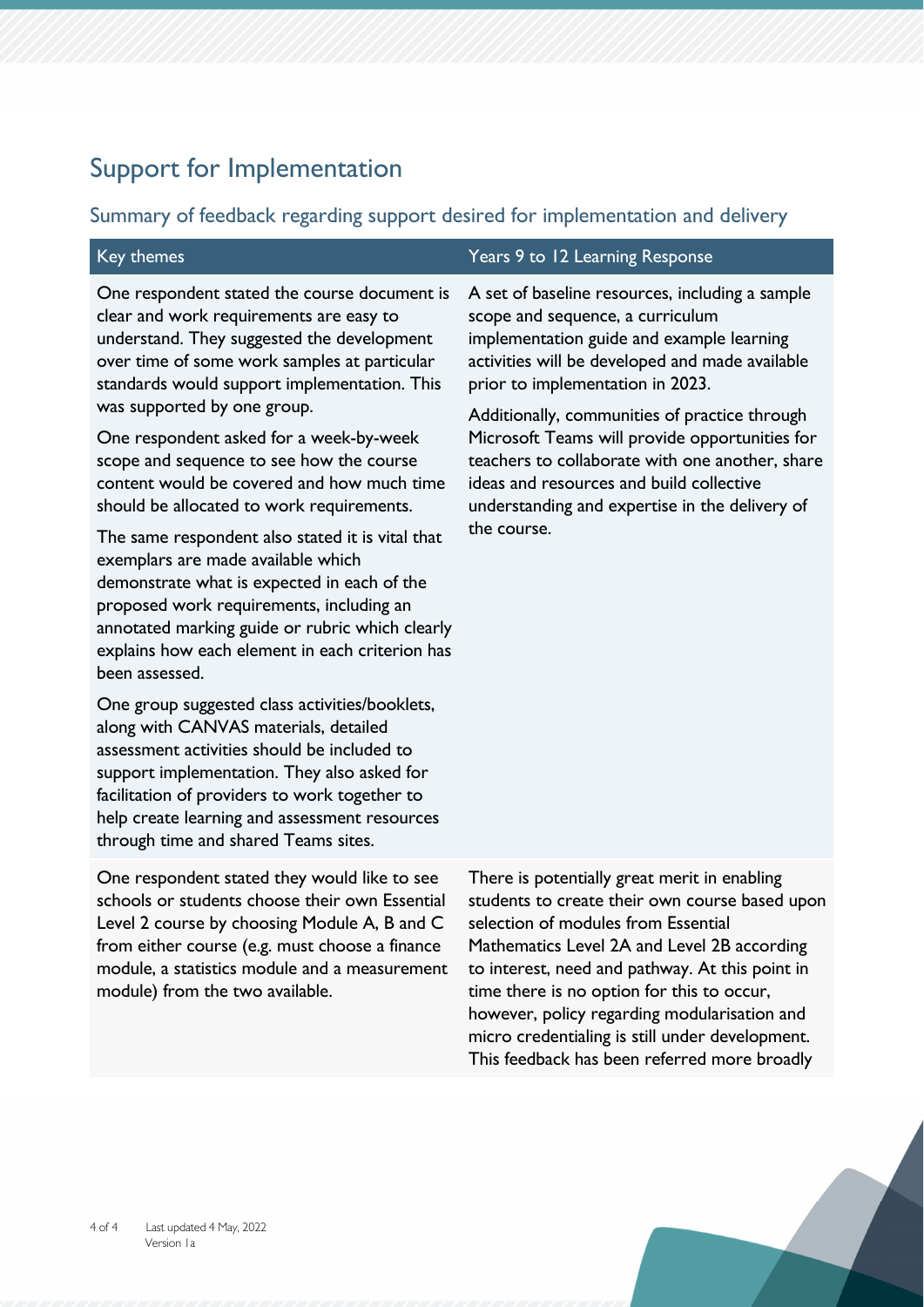## Support for Implementation

### Summary of feedback regarding support desired for implementation and delivery

| Key themes                                                                                                                                                                                                                                                                                                                                                                                                                                                                                                                                                                                                                                                                                                                                                                                                                                                                                                                                                                                                                                                                                             | Years 9 to 12 Learning Response                                                                                                                                                                                                                                                                                                                                                                                                                                                            |
|--------------------------------------------------------------------------------------------------------------------------------------------------------------------------------------------------------------------------------------------------------------------------------------------------------------------------------------------------------------------------------------------------------------------------------------------------------------------------------------------------------------------------------------------------------------------------------------------------------------------------------------------------------------------------------------------------------------------------------------------------------------------------------------------------------------------------------------------------------------------------------------------------------------------------------------------------------------------------------------------------------------------------------------------------------------------------------------------------------|--------------------------------------------------------------------------------------------------------------------------------------------------------------------------------------------------------------------------------------------------------------------------------------------------------------------------------------------------------------------------------------------------------------------------------------------------------------------------------------------|
| One respondent stated the course document is<br>clear and work requirements are easy to<br>understand. They suggested the development<br>over time of some work samples at particular<br>standards would support implementation. This<br>was supported by one group.<br>One respondent asked for a week-by-week<br>scope and sequence to see how the course<br>content would be covered and how much time<br>should be allocated to work requirements.<br>The same respondent also stated it is vital that<br>exemplars are made available which<br>demonstrate what is expected in each of the<br>proposed work requirements, including an<br>annotated marking guide or rubric which clearly<br>explains how each element in each criterion has<br>been assessed.<br>One group suggested class activities/booklets,<br>along with CANVAS materials, detailed<br>assessment activities should be included to<br>support implementation. They also asked for<br>facilitation of providers to work together to<br>help create learning and assessment resources<br>through time and shared Teams sites. | A set of baseline resources, including a sample<br>scope and sequence, a curriculum<br>implementation guide and example learning<br>activities will be developed and made available<br>prior to implementation in 2023.<br>Additionally, communities of practice through<br>Microsoft Teams will provide opportunities for<br>teachers to collaborate with one another, share<br>ideas and resources and build collective<br>understanding and expertise in the delivery of<br>the course. |
| One respondent stated they would like to see<br>schools or students choose their own Essential<br>Level 2 course by choosing Module A, B and C<br>from either course (e.g. must choose a finance<br>module, a statistics module and a measurement<br>module) from the two available.                                                                                                                                                                                                                                                                                                                                                                                                                                                                                                                                                                                                                                                                                                                                                                                                                   | There is potentially great merit in enabling<br>students to create their own course based upon<br>selection of modules from Essential<br>Mathematics Level 2A and Level 2B according<br>to interest, need and pathway. At this point in<br>time there is no option for this to occur,                                                                                                                                                                                                      |

however, policy regarding modularisation and micro credentialing is still under development. This feedback has been referred more broadly